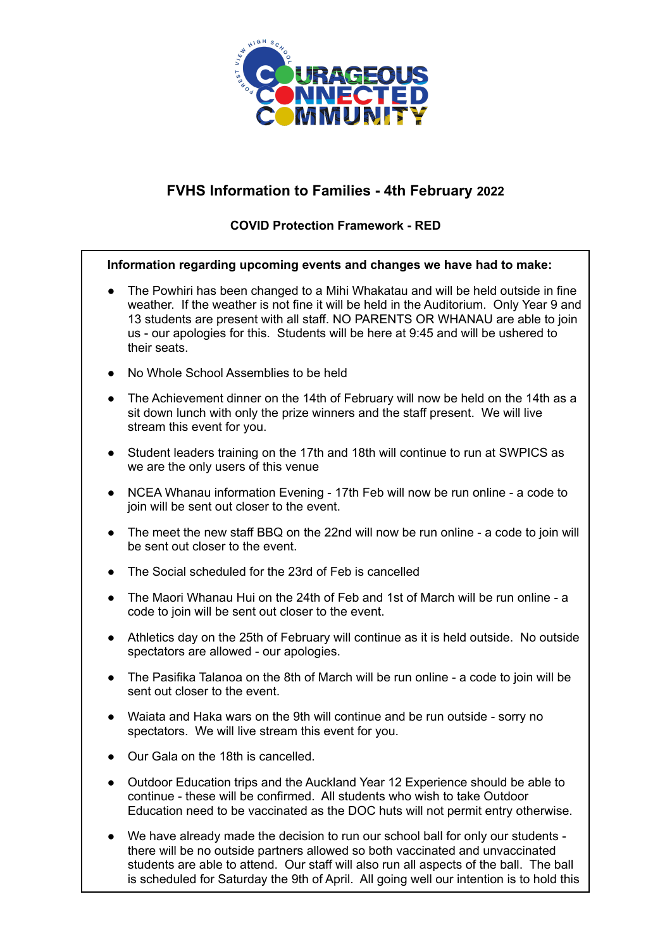

## **FVHS Information to Families - 4th February 2022**

## **COVID Protection Framework - RED**

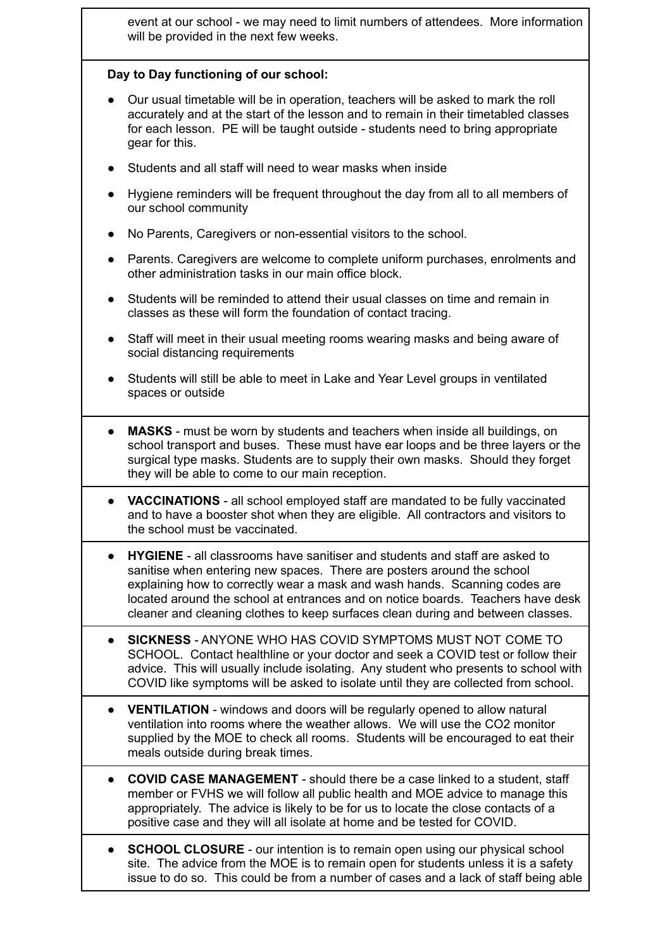event at our school - we may need to limit numbers of attendees. More information will be provided in the next few weeks.

## **Day to Day functioning of our school:**

- Our usual timetable will be in operation, teachers will be asked to mark the roll accurately and at the start of the lesson and to remain in their timetabled classes for each lesson. PE will be taught outside - students need to bring appropriate gear for this.
- Students and all staff will need to wear masks when inside
- Hygiene reminders will be frequent throughout the day from all to all members of our school community
- No Parents, Caregivers or non-essential visitors to the school.
- Parents. Caregivers are welcome to complete uniform purchases, enrolments and other administration tasks in our main office block.
- Students will be reminded to attend their usual classes on time and remain in classes as these will form the foundation of contact tracing.
- Staff will meet in their usual meeting rooms wearing masks and being aware of social distancing requirements
- Students will still be able to meet in Lake and Year Level groups in ventilated spaces or outside
- **MASKS** must be worn by students and teachers when inside all buildings, on school transport and buses. These must have ear loops and be three layers or the surgical type masks. Students are to supply their own masks. Should they forget they will be able to come to our main reception.
- **VACCINATIONS** all school employed staff are mandated to be fully vaccinated and to have a booster shot when they are eligible. All contractors and visitors to the school must be vaccinated.
- **HYGIENE** all classrooms have sanitiser and students and staff are asked to sanitise when entering new spaces. There are posters around the school explaining how to correctly wear a mask and wash hands. Scanning codes are located around the school at entrances and on notice boards. Teachers have desk cleaner and cleaning clothes to keep surfaces clean during and between classes.
- **SICKNESS** ANYONE WHO HAS COVID SYMPTOMS MUST NOT COME TO SCHOOL. Contact healthline or your doctor and seek a COVID test or follow their advice. This will usually include isolating. Any student who presents to school with COVID like symptoms will be asked to isolate until they are collected from school.
- **VENTILATION** windows and doors will be regularly opened to allow natural ventilation into rooms where the weather allows. We will use the CO2 monitor supplied by the MOE to check all rooms. Students will be encouraged to eat their meals outside during break times.
- **COVID CASE MANAGEMENT** should there be a case linked to a student, staff member or FVHS we will follow all public health and MOE advice to manage this appropriately. The advice is likely to be for us to locate the close contacts of a positive case and they will all isolate at home and be tested for COVID.
- **SCHOOL CLOSURE** our intention is to remain open using our physical school site. The advice from the MOE is to remain open for students unless it is a safety issue to do so. This could be from a number of cases and a lack of staff being able